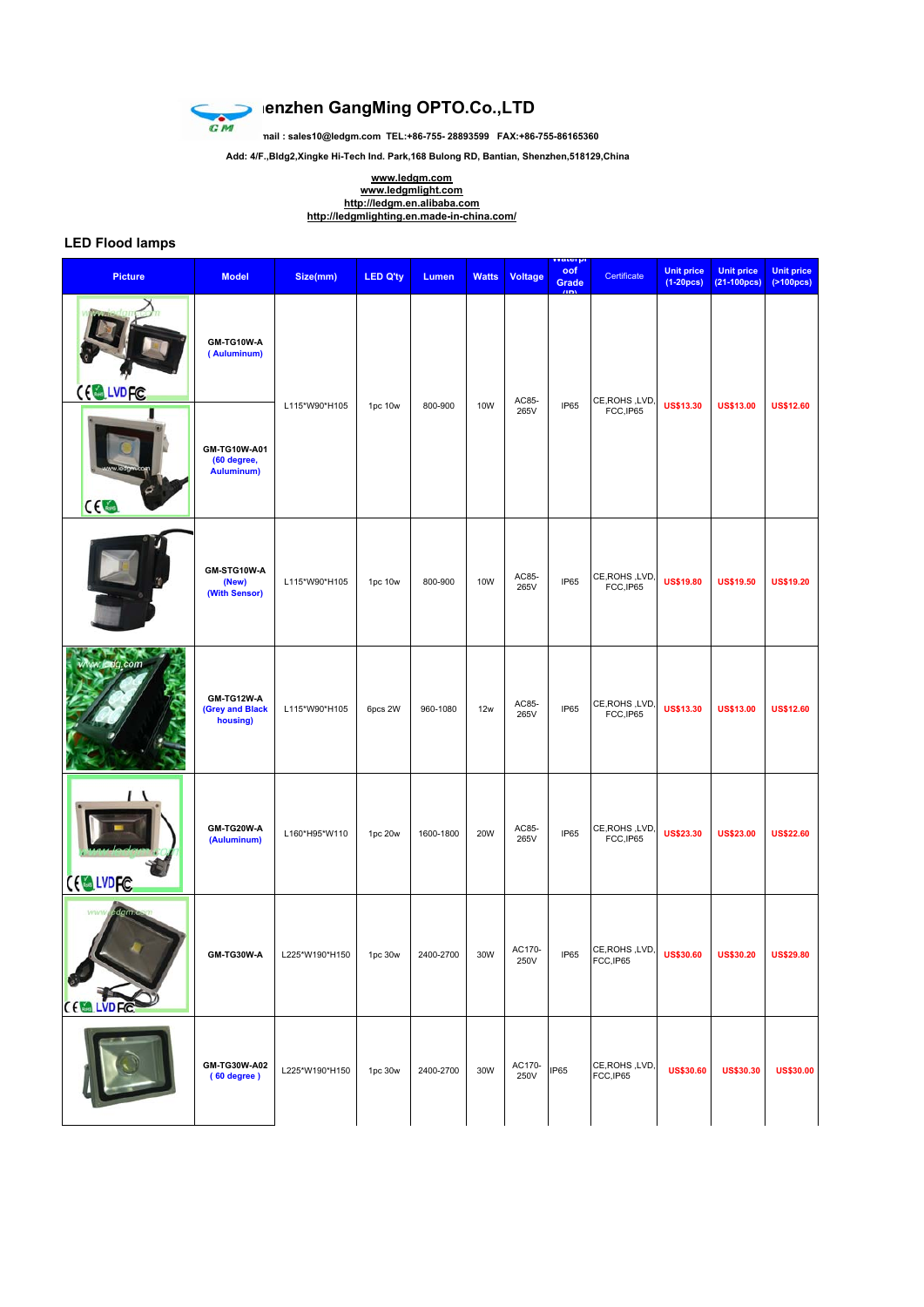

## **SHEP SHELF GANGER GANGER GANGER CO.**<br>
SHEP SHEP SHEPS SHEP SHEPS SHEP SHEPS SHEPS SHEPS SHEPS SHEPS SHEPS SHEPS SHEPS SHEPS SHEPS SHEPS SHEPS SHEPS SHEPS SHEPS SHEPS SHEPS SHEPS SHEPS SHEPS SHEPS SHEPS SHEPS SHEPS SHEPS S

**Email : sales10@ledgm.com TEL:+86-755- 28893599 FAX:+86-755-86165360**

 **Add: 4/F.,Bldg2,Xingke Hi-Tech Ind. Park,168 Bulong RD, Bantian, Shenzhen,518129,China**

**www.ledgm.com www.ledgmlight.com http://ledgm.en.alibaba.com http://ledgmlighting.en.made-in-china.com/**

## **LED Flood lamps**

| <b>Picture</b>           | <b>Model</b>                                     | Size(mm)       | <b>LED Q'ty</b> | Lumen     | <b>Watts</b> | Voltage        | <mark>rvater pr</mark><br>oof<br>Grade<br>$n_{\rm DM}$ | Certificate                 | <b>Unit price</b><br>$(1-20)$ pcs) | <b>Unit price</b><br>$(21-100pcs)$ | <b>Unit price</b><br>(2100pcs) |
|--------------------------|--------------------------------------------------|----------------|-----------------|-----------|--------------|----------------|--------------------------------------------------------|-----------------------------|------------------------------------|------------------------------------|--------------------------------|
| CE LVDFC                 | GM-TG10W-A<br>(Auluminum)                        | L115*W90*H105  | 1pc 10w         | 800-900   | 10W          | AC85-<br>265V  | IP65                                                   | CE, ROHS, LVD,<br>FCC, IP65 | <b>US\$13.30</b>                   | <b>US\$13.00</b>                   | <b>US\$12.60</b>               |
| CC                       | GM-TG10W-A01<br>(60 degree,<br><b>Auluminum)</b> |                |                 |           |              |                |                                                        |                             |                                    |                                    |                                |
|                          | GM-STG10W-A<br>(New)<br>(With Sensor)            | L115*W90*H105  | 1pc 10w         | 800-900   | 10W          | AC85-<br>265V  | IP65                                                   | CE, ROHS, LVD,<br>FCC, IP65 | <b>US\$19.80</b>                   | <b>US\$19.50</b>                   | <b>US\$19.20</b>               |
| w.ledg.com               | GM-TG12W-A<br>(Grey and Black<br>housing)        | L115*W90*H105  | 6pcs 2W         | 960-1080  | 12w          | AC85-<br>265V  | IP65                                                   | CE, ROHS, LVD,<br>FCC, IP65 | <b>US\$13.30</b>                   | <b>US\$13.00</b>                   | <b>US\$12.60</b>               |
| CE LVDFC                 | GM-TG20W-A<br>(Auluminum)                        | L160*H95*W110  | 1pc 20w         | 1600-1800 | 20W          | AC85-<br>265V  | IP65                                                   | CE, ROHS, LVD,<br>FCC, IP65 | <b>US\$23.30</b>                   | <b>US\$23.00</b>                   | <b>US\$22.60</b>               |
| eagm<br>www.<br>CELLVDFC | GM-TG30W-A                                       | L225*W190*H150 | 1pc 30w         | 2400-2700 | 30W          | AC170-<br>250V | IP65                                                   | CE, ROHS, LVD,<br>FCC, IP65 | <b>US\$30.60</b>                   | <b>US\$30.20</b>                   | <b>US\$29.80</b>               |
|                          | GM-TG30W-A02<br>(60 degree)                      | L225*W190*H150 | 1pc 30w         | 2400-2700 | 30W          | AC170-<br>250V | IP65                                                   | CE, ROHS, LVD,<br>FCC,IP65  | <b>US\$30.60</b>                   | <b>US\$30.30</b>                   | <b>US\$30.00</b>               |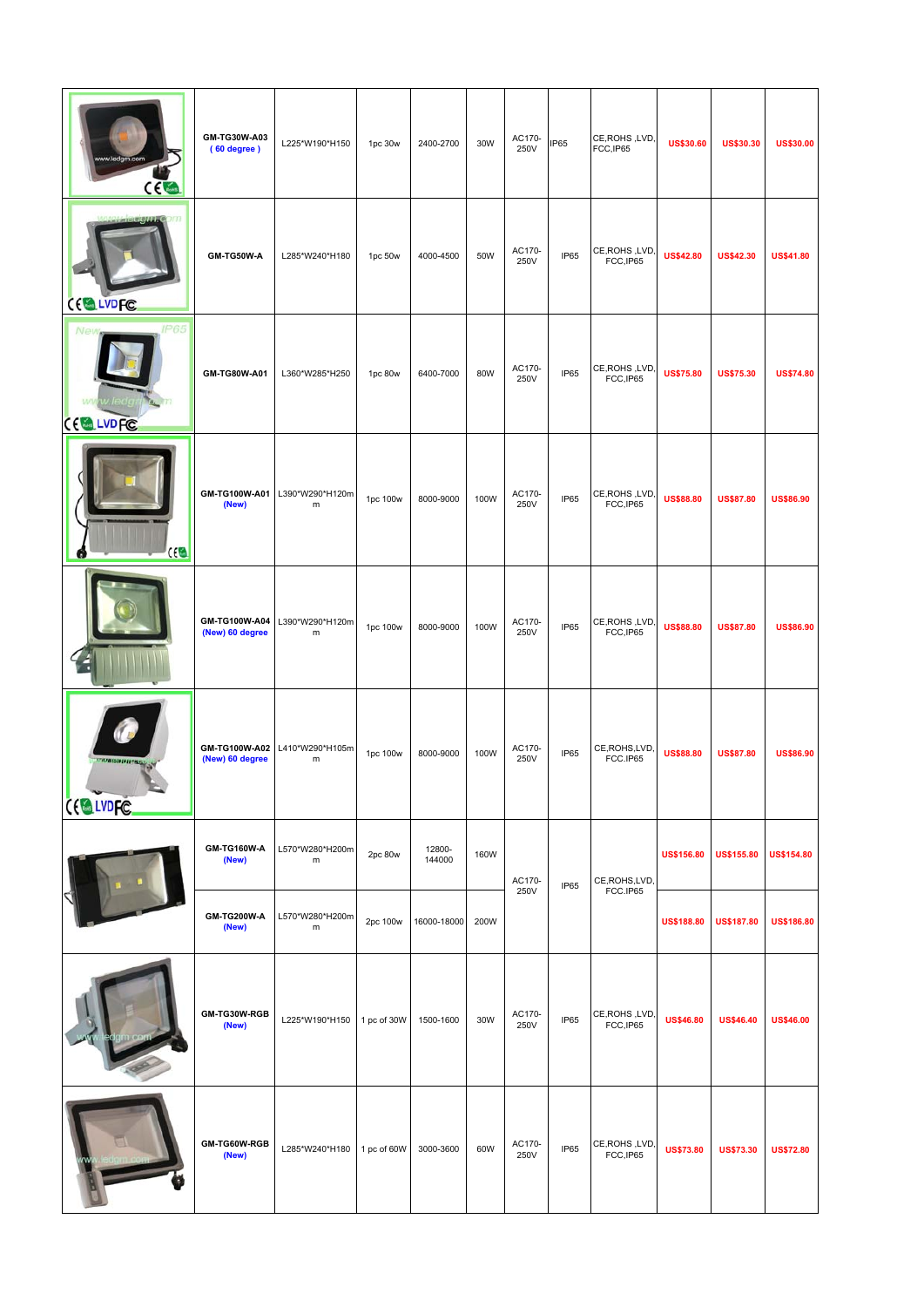| CE                                 | GM-TG30W-A03<br>(60 degree)      | L225*W190*H150               | 1pc 30w     | 2400-2700        | 30W  | AC170-<br>250V | IP65           | CE, ROHS, LVD,<br>FCC, IP65 | <b>US\$30.60</b>  | <b>US\$30.30</b>  | <b>US\$30.00</b>  |
|------------------------------------|----------------------------------|------------------------------|-------------|------------------|------|----------------|----------------|-----------------------------|-------------------|-------------------|-------------------|
| CELLVDFC                           | GM-TG50W-A                       | L285*W240*H180               | 1pc 50w     | 4000-4500        | 50W  | AC170-<br>250V | IP65           | CE, ROHS, LVD,<br>FCC, IP65 | <b>US\$42.80</b>  | <b>US\$42.30</b>  | <b>US\$41.80</b>  |
| <b>IP65</b><br>Ne<br>CE LVDFC      | GM-TG80W-A01                     | L360*W285*H250               | 1pc 80w     | 6400-7000        | 80W  | AC170-<br>250V | IP65           | CE, ROHS, LVD<br>FCC, IP65  | <b>US\$75.80</b>  | <b>US\$75.30</b>  | <b>US\$74.80</b>  |
| CE                                 | GM-TG100W-A01<br>(New)           | L390*W290*H120m<br>m         | 1pc 100w    | 8000-9000        | 100W | AC170-<br>250V | IP65           | CE, ROHS, LVD<br>FCC, IP65  | <b>US\$88.80</b>  | <b>US\$87.80</b>  | <b>US\$86.90</b>  |
|                                    | GM-TG100W-A04<br>(New) 60 degree | L390*W290*H120m<br>m         | 1pc 100w    | 8000-9000        | 100W | AC170-<br>250V | IP65           | CE, ROHS, LVD<br>FCC, IP65  | <b>US\$88.80</b>  | <b>US\$87.80</b>  | <b>US\$86.90</b>  |
| <b>COMMENTARY ROOM</b><br>CELLVDFC | GM-TG100W-A02<br>(New) 60 degree | L410*W290*H105m<br>m         | 1pc 100w    | 8000-9000        | 100W | AC170-<br>250V | IP65           | CE, ROHS, LVD,<br>FCC.IP65  | <b>US\$88.80</b>  | <b>US\$87.80</b>  | <b>US\$86.90</b>  |
|                                    | GM-TG160W-A<br>(New)             | L570*W280*H200m<br>${\sf m}$ | 2pc 80w     | 12800-<br>144000 | 160W | AC170-<br>IP65 | CE, ROHS, LVD, | <b>US\$156.80</b>           | <b>US\$155.80</b> | <b>US\$154.80</b> |                   |
|                                    | GM-TG200W-A<br>(New)             | L570*W280*H200m<br>${\sf m}$ | 2pc 100w    | 16000-18000      | 200W | 250V           |                | FCC.IP65                    | <b>US\$188.80</b> | <b>US\$187.80</b> | <b>US\$186.80</b> |
|                                    | GM-TG30W-RGB<br>(New)            | L225*W190*H150               | 1 pc of 30W | 1500-1600        | 30W  | AC170-<br>250V | IP65           | CE, ROHS, LVD,<br>FCC, IP65 | <b>US\$46.80</b>  | <b>US\$46.40</b>  | <b>US\$46.00</b>  |
|                                    | GM-TG60W-RGB<br>(New)            | L285*W240*H180               | 1 pc of 60W | 3000-3600        | 60W  | AC170-<br>250V | IP65           | CE, ROHS, LVD,<br>FCC, IP65 | <b>US\$73.80</b>  | <b>US\$73.30</b>  | <b>US\$72.80</b>  |